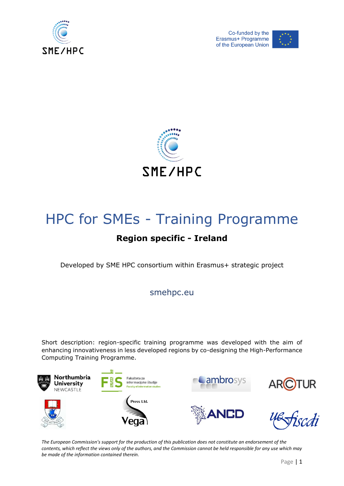





# HPC for SMEs - Training Programme

## **Region specific - Ireland**

Developed by SME HPC consortium within Erasmus+ strategic project

smehpc.eu

Short description: region-specific training programme was developed with the aim of enhancing innovativeness in less developed regions by co-designing the High-Performance Computing Training Programme.



*The European Commission's support for the production of this publication does not constitute an endorsement of the contents, which reflect the views only of the authors, and the Commission cannot be held responsible for any use which may be made of the information contained therein.*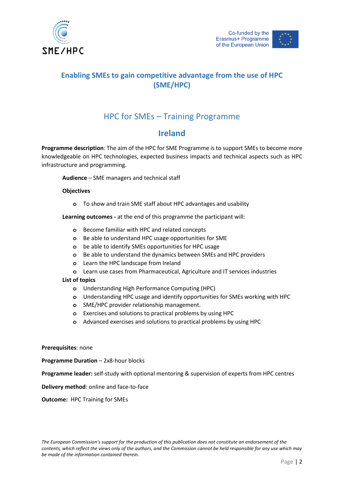



## **Enabling SMEs to gain competitive advantage from the use of HPC (SME/HPC)**

## HPC for SMEs – Training Programme

## **Ireland**

**Programme description**: The aim of the HPC for SME Programme is to support SMEs to become more knowledgeable on HPC technologies, expected business impacts and technical aspects such as HPC infrastructure and programming.

**Audience** – SME managers and technical staff

#### **Objectives**

**o** To show and train SME staff about HPC advantages and usability

**Learning outcomes -** at the end of this programme the participant will:

- **o** Become familiar with HPC and related concepts
- **o** Be able to understand HPC usage opportunities for SME
- **o** be able to identify SMEs opportunities for HPC usage
- **o** Be able to understand the dynamics between SMEs and HPC providers
- **o** Learn the HPC landscape from Ireland
- **o** Learn use cases from Pharmaceutical, Agriculture and IT services industries

#### **List of topics**

- **o** Understanding High Performance Computing (HPC)
- **o** Understanding HPC usage and identify opportunities for SMEs working with HPC
- **o** SME/HPC provider relationship management.
- **o** Exercises and solutions to practical problems by using HPC
- **o** Advanced exercises and solutions to practical problems by using HPC

#### **Prerequisites**: none

**Programme Duration** – 2x8-hour blocks

**Programme leader:** self-study with optional mentoring & supervision of experts from HPC centres

**Delivery method**: online and face-to-face

**Outcome:** HPC Training for SMEs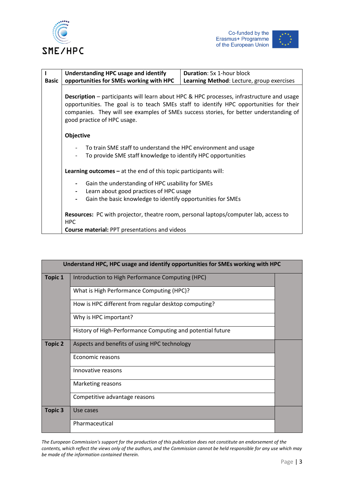





|              | <b>Understanding HPC usage and identify</b>                                                                                                                                                                                                                                                                         | <b>Duration: 5x 1-hour block</b>          |  |
|--------------|---------------------------------------------------------------------------------------------------------------------------------------------------------------------------------------------------------------------------------------------------------------------------------------------------------------------|-------------------------------------------|--|
| <b>Basic</b> | opportunities for SMEs working with HPC                                                                                                                                                                                                                                                                             | Learning Method: Lecture, group exercises |  |
|              | <b>Description</b> – participants will learn about HPC & HPC processes, infrastructure and usage<br>opportunities. The goal is to teach SMEs staff to identify HPC opportunities for their<br>companies. They will see examples of SMEs success stories, for better understanding of<br>good practice of HPC usage. |                                           |  |
|              | Objective                                                                                                                                                                                                                                                                                                           |                                           |  |
|              | To train SME staff to understand the HPC environment and usage<br>To provide SME staff knowledge to identify HPC opportunities                                                                                                                                                                                      |                                           |  |
|              | <b>Learning outcomes – at the end of this topic participants will:</b>                                                                                                                                                                                                                                              |                                           |  |
|              | Gain the understanding of HPC usability for SMEs<br>Learn about good practices of HPC usage<br>Gain the basic knowledge to identify opportunities for SMEs                                                                                                                                                          |                                           |  |
|              | Resources: PC with projector, theatre room, personal laptops/computer lab, access to<br><b>HPC</b>                                                                                                                                                                                                                  |                                           |  |
|              | Course material: PPT presentations and videos                                                                                                                                                                                                                                                                       |                                           |  |

| Understand HPC, HPC usage and identify opportunities for SMEs working with HPC |                                                            |  |  |
|--------------------------------------------------------------------------------|------------------------------------------------------------|--|--|
| <b>Topic 1</b>                                                                 | Introduction to High Performance Computing (HPC)           |  |  |
|                                                                                | What is High Performance Computing (HPC)?                  |  |  |
|                                                                                | How is HPC different from regular desktop computing?       |  |  |
|                                                                                | Why is HPC important?                                      |  |  |
|                                                                                | History of High-Performance Computing and potential future |  |  |
| <b>Topic 2</b>                                                                 | Aspects and benefits of using HPC technology               |  |  |
|                                                                                | Economic reasons                                           |  |  |
|                                                                                | Innovative reasons                                         |  |  |
|                                                                                | Marketing reasons                                          |  |  |
|                                                                                | Competitive advantage reasons                              |  |  |
| <b>Topic 3</b>                                                                 | Use cases                                                  |  |  |
|                                                                                | Pharmaceutical                                             |  |  |

*The European Commission's support for the production of this publication does not constitute an endorsement of the contents, which reflect the views only of the authors, and the Commission cannot be held responsible for any use which may be made of the information contained therein.*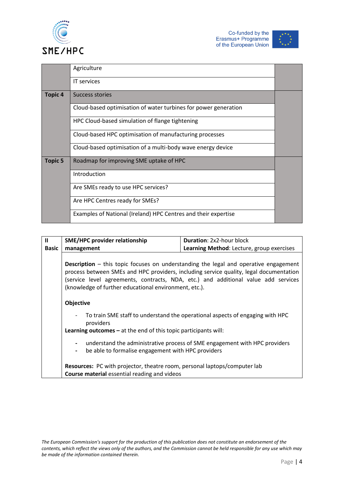



|                    | Agriculture                                                     |  |
|--------------------|-----------------------------------------------------------------|--|
|                    | <b>IT</b> services                                              |  |
| Topic <sub>4</sub> | Success stories                                                 |  |
|                    | Cloud-based optimisation of water turbines for power generation |  |
|                    | HPC Cloud-based simulation of flange tightening                 |  |
|                    | Cloud-based HPC optimisation of manufacturing processes         |  |
|                    | Cloud-based optimisation of a multi-body wave energy device     |  |
| <b>Topic 5</b>     | Roadmap for improving SME uptake of HPC                         |  |
|                    | Introduction                                                    |  |
|                    | Are SMEs ready to use HPC services?                             |  |
|                    | Are HPC Centres ready for SMEs?                                 |  |
|                    | Examples of National (Ireland) HPC Centres and their expertise  |  |

| $\mathbf{u}$ | <b>SME/HPC provider relationship</b>                                                                                                                                                                                                                                                                                                 | Duration: 2x2-hour block                                                      |  |
|--------------|--------------------------------------------------------------------------------------------------------------------------------------------------------------------------------------------------------------------------------------------------------------------------------------------------------------------------------------|-------------------------------------------------------------------------------|--|
| <b>Basic</b> | management                                                                                                                                                                                                                                                                                                                           | Learning Method: Lecture, group exercises                                     |  |
|              | <b>Description</b> – this topic focuses on understanding the legal and operative engagement<br>process between SMEs and HPC providers, including service quality, legal documentation<br>(service level agreements, contracts, NDA, etc.) and additional value add services<br>(knowledge of further educational environment, etc.). |                                                                               |  |
|              |                                                                                                                                                                                                                                                                                                                                      |                                                                               |  |
|              | Objective                                                                                                                                                                                                                                                                                                                            |                                                                               |  |
|              | providers                                                                                                                                                                                                                                                                                                                            | To train SME staff to understand the operational aspects of engaging with HPC |  |
|              | Learning outcomes $-$ at the end of this topic participants will:                                                                                                                                                                                                                                                                    |                                                                               |  |
|              | $\blacksquare$<br>be able to formalise engagement with HPC providers<br>$\blacksquare$                                                                                                                                                                                                                                               | understand the administrative process of SME engagement with HPC providers    |  |
|              | Resources: PC with projector, theatre room, personal laptops/computer lab                                                                                                                                                                                                                                                            |                                                                               |  |
|              | <b>Course material essential reading and videos</b>                                                                                                                                                                                                                                                                                  |                                                                               |  |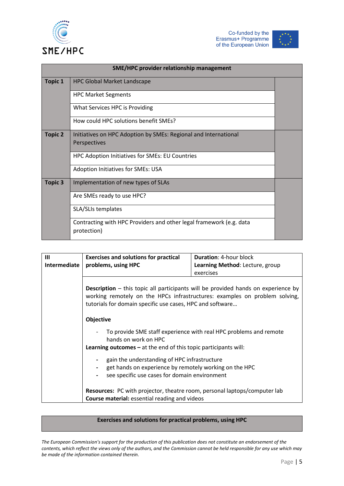





| SME/HPC provider relationship management |                                                                                    |  |
|------------------------------------------|------------------------------------------------------------------------------------|--|
| <b>Topic 1</b>                           | <b>HPC Global Market Landscape</b>                                                 |  |
|                                          | <b>HPC Market Segments</b>                                                         |  |
|                                          | What Services HPC is Providing                                                     |  |
|                                          | How could HPC solutions benefit SMEs?                                              |  |
| <b>Topic 2</b>                           | Initiatives on HPC Adoption by SMEs: Regional and International                    |  |
|                                          | Perspectives                                                                       |  |
|                                          | HPC Adoption Initiatives for SMEs: EU Countries                                    |  |
|                                          | Adoption Initiatives for SMEs: USA                                                 |  |
| <b>Topic 3</b>                           | Implementation of new types of SLAs                                                |  |
|                                          | Are SMEs ready to use HPC?                                                         |  |
|                                          | SLA/SLIs templates                                                                 |  |
|                                          | Contracting with HPC Providers and other legal framework (e.g. data<br>protection) |  |

| Ш                                                                                                                                                                                                                                   | <b>Exercises and solutions for practical</b>                                                                                                            | <b>Duration: 4-hour block</b>                                     |  |
|-------------------------------------------------------------------------------------------------------------------------------------------------------------------------------------------------------------------------------------|---------------------------------------------------------------------------------------------------------------------------------------------------------|-------------------------------------------------------------------|--|
|                                                                                                                                                                                                                                     |                                                                                                                                                         |                                                                   |  |
| Intermediate                                                                                                                                                                                                                        | problems, using HPC                                                                                                                                     | Learning Method: Lecture, group                                   |  |
|                                                                                                                                                                                                                                     |                                                                                                                                                         | exercises                                                         |  |
|                                                                                                                                                                                                                                     |                                                                                                                                                         |                                                                   |  |
| <b>Description</b> – this topic all participants will be provided hands on experience by<br>working remotely on the HPCs infrastructures: examples on problem solving,<br>tutorials for domain specific use cases, HPC and software |                                                                                                                                                         |                                                                   |  |
|                                                                                                                                                                                                                                     | <b>Objective</b>                                                                                                                                        |                                                                   |  |
|                                                                                                                                                                                                                                     | hands on work on HPC                                                                                                                                    | To provide SME staff experience with real HPC problems and remote |  |
|                                                                                                                                                                                                                                     | <b>Learning outcomes – at the end of this topic participants will:</b>                                                                                  |                                                                   |  |
|                                                                                                                                                                                                                                     | gain the understanding of HPC infrastructure<br>get hands on experience by remotely working on the HPC<br>see specific use cases for domain environment |                                                                   |  |
|                                                                                                                                                                                                                                     | Resources: PC with projector, theatre room, personal laptops/computer lab<br><b>Course material:</b> essential reading and videos                       |                                                                   |  |

### **Exercises and solutions for practical problems, using HPC**

*The European Commission's support for the production of this publication does not constitute an endorsement of the contents, which reflect the views only of the authors, and the Commission cannot be held responsible for any use which may be made of the information contained therein.*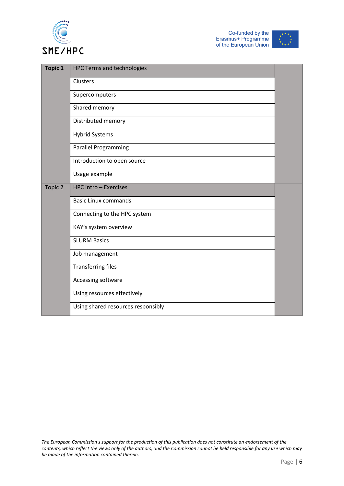





| <b>Topic 1</b> | <b>HPC Terms and technologies</b>  |  |
|----------------|------------------------------------|--|
|                | Clusters                           |  |
|                | Supercomputers                     |  |
|                | Shared memory                      |  |
|                | Distributed memory                 |  |
|                | <b>Hybrid Systems</b>              |  |
|                | <b>Parallel Programming</b>        |  |
|                | Introduction to open source        |  |
|                | Usage example                      |  |
| Topic 2        | HPC intro - Exercises              |  |
|                | <b>Basic Linux commands</b>        |  |
|                | Connecting to the HPC system       |  |
|                | KAY's system overview              |  |
|                | <b>SLURM Basics</b>                |  |
|                | Job management                     |  |
|                | <b>Transferring files</b>          |  |
|                | Accessing software                 |  |
|                | Using resources effectively        |  |
|                | Using shared resources responsibly |  |